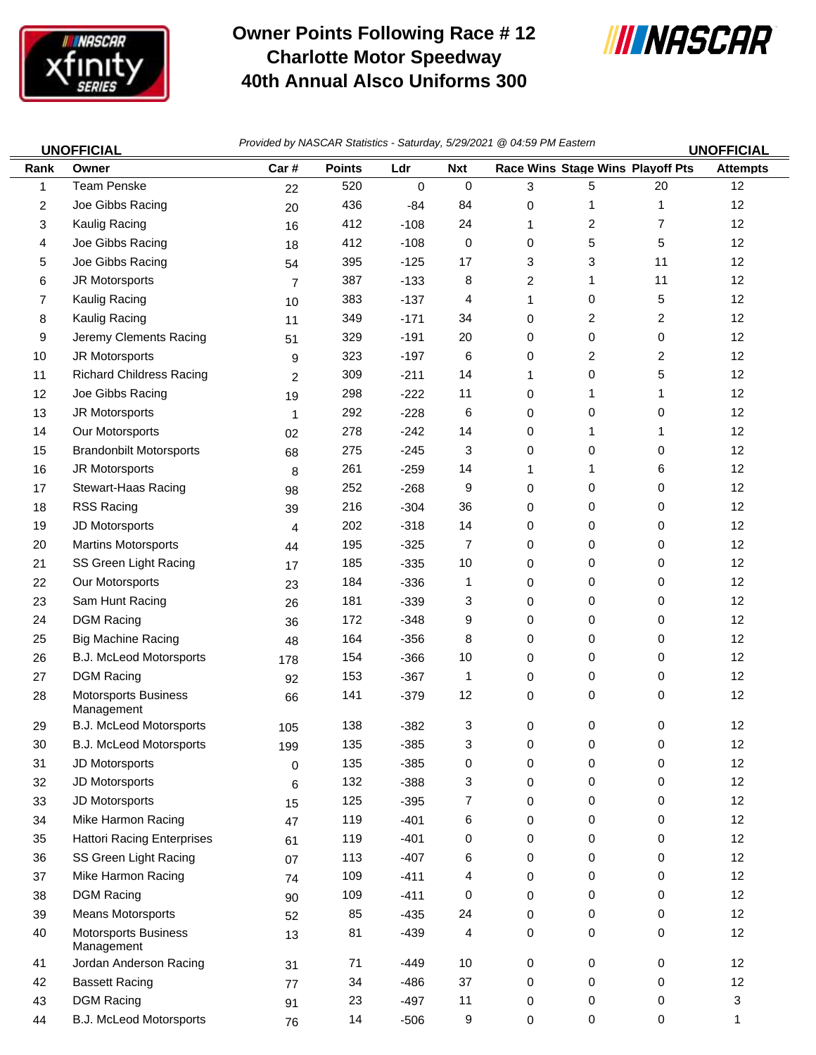

## **Owner Points Following Race # 12 Charlotte Motor Speedway 40th Annual Alsco Uniforms 300**



| <b>UNOFFICIAL</b> |                                           | Provided by NASCAR Statistics - Saturday, 5/29/2021 @ 04:59 PM Eastern<br><b>UNOFFICIAL</b> |               |             |             |   |                                  |    |                 |  |
|-------------------|-------------------------------------------|---------------------------------------------------------------------------------------------|---------------|-------------|-------------|---|----------------------------------|----|-----------------|--|
| Rank              | Owner                                     | Car#                                                                                        | <b>Points</b> | Ldr         | <b>Nxt</b>  |   | Race Wins Stage Wins Playoff Pts |    | <b>Attempts</b> |  |
| 1                 | Team Penske                               | 22                                                                                          | 520           | $\mathbf 0$ | $\mathbf 0$ | 3 | 5                                | 20 | 12              |  |
| 2                 | Joe Gibbs Racing                          | 20                                                                                          | 436           | $-84$       | 84          | 0 | 1                                | 1  | 12              |  |
| 3                 | Kaulig Racing                             | 16                                                                                          | 412           | $-108$      | 24          | 1 | $\overline{c}$                   | 7  | 12              |  |
| 4                 | Joe Gibbs Racing                          | 18                                                                                          | 412           | $-108$      | 0           | 0 | 5                                | 5  | 12              |  |
| 5                 | Joe Gibbs Racing                          | 54                                                                                          | 395           | $-125$      | 17          | 3 | 3                                | 11 | 12              |  |
| 6                 | JR Motorsports                            | $\overline{7}$                                                                              | 387           | $-133$      | 8           | 2 | 1                                | 11 | 12              |  |
| 7                 | Kaulig Racing                             | 10                                                                                          | 383           | $-137$      | 4           | 1 | 0                                | 5  | 12              |  |
| 8                 | Kaulig Racing                             | 11                                                                                          | 349           | $-171$      | 34          | 0 | 2                                | 2  | 12              |  |
| 9                 | Jeremy Clements Racing                    | 51                                                                                          | 329           | $-191$      | 20          | 0 | 0                                | 0  | 12              |  |
| 10                | JR Motorsports                            | 9                                                                                           | 323           | $-197$      | 6           | 0 | $\overline{c}$                   | 2  | 12              |  |
| 11                | <b>Richard Childress Racing</b>           | 2                                                                                           | 309           | $-211$      | 14          | 1 | 0                                | 5  | 12              |  |
| 12 <sup>2</sup>   | Joe Gibbs Racing                          | 19                                                                                          | 298           | $-222$      | 11          | 0 | 1                                | 1  | 12              |  |
| 13                | JR Motorsports                            | 1                                                                                           | 292           | $-228$      | 6           | 0 | 0                                | 0  | 12              |  |
| 14                | Our Motorsports                           | 02                                                                                          | 278           | $-242$      | 14          | 0 | 1                                | 1  | 12              |  |
| 15                | <b>Brandonbilt Motorsports</b>            | 68                                                                                          | 275           | $-245$      | 3           | 0 | 0                                | 0  | 12              |  |
| 16                | JR Motorsports                            | 8                                                                                           | 261           | $-259$      | 14          | 1 | $\mathbf{1}$                     | 6  | 12              |  |
| 17                | Stewart-Haas Racing                       | 98                                                                                          | 252           | $-268$      | 9           | 0 | 0                                | 0  | 12              |  |
| 18                | RSS Racing                                | 39                                                                                          | 216           | $-304$      | 36          | 0 | 0                                | 0  | 12              |  |
| 19                | JD Motorsports                            | 4                                                                                           | 202           | $-318$      | 14          | 0 | 0                                | 0  | 12              |  |
| 20                | <b>Martins Motorsports</b>                | 44                                                                                          | 195           | $-325$      | 7           | 0 | 0                                | 0  | 12              |  |
| 21                | SS Green Light Racing                     | 17                                                                                          | 185           | $-335$      | 10          | 0 | 0                                | 0  | 12              |  |
| 22                | Our Motorsports                           | 23                                                                                          | 184           | $-336$      | 1           | 0 | 0                                | 0  | 12              |  |
| 23                | Sam Hunt Racing                           | 26                                                                                          | 181           | $-339$      | 3           | 0 | 0                                | 0  | 12              |  |
| 24                | <b>DGM Racing</b>                         | 36                                                                                          | 172           | $-348$      | 9           | 0 | 0                                | 0  | 12              |  |
| 25                | <b>Big Machine Racing</b>                 | 48                                                                                          | 164           | $-356$      | 8           | 0 | 0                                | 0  | 12              |  |
| 26                | B.J. McLeod Motorsports                   | 178                                                                                         | 154           | $-366$      | 10          | 0 | 0                                | 0  | 12              |  |
| 27                | <b>DGM Racing</b>                         | 92                                                                                          | 153           | $-367$      | 1           | 0 | 0                                | 0  | 12              |  |
| 28                | Motorsports Business<br>Management        | 66                                                                                          | 141           | $-379$      | 12          | 0 | 0                                | 0  | 12              |  |
| 29                | B.J. McLeod Motorsports                   | 105                                                                                         | 138           | $-382$      | 3           | 0 | 0                                | 0  | 12              |  |
| 30                | B.J. McLeod Motorsports                   | 199                                                                                         | 135           | $-385$      | 3           | 0 | 0                                | 0  | 12              |  |
| 31                | JD Motorsports                            | $\mathbf 0$                                                                                 | 135           | $-385$      | 0           | 0 | 0                                | 0  | 12              |  |
| 32                | JD Motorsports                            | 6                                                                                           | 132           | $-388$      | 3           | 0 | 0                                | 0  | 12              |  |
| 33                | JD Motorsports                            | 15                                                                                          | 125           | $-395$      | 7           | 0 | 0                                | 0  | 12              |  |
| 34                | Mike Harmon Racing                        | 47                                                                                          | 119           | $-401$      | 6           | 0 | 0                                | 0  | 12              |  |
| 35                | <b>Hattori Racing Enterprises</b>         | 61                                                                                          | 119           | $-401$      | 0           | 0 | 0                                | 0  | 12              |  |
| 36                | SS Green Light Racing                     | 07                                                                                          | 113           | $-407$      | 6           | 0 | 0                                | 0  | 12              |  |
| 37                | Mike Harmon Racing                        | 74                                                                                          | 109           | $-411$      | 4           | 0 | 0                                | 0  | 12              |  |
| 38                | <b>DGM Racing</b>                         | 90                                                                                          | 109           | $-411$      | 0           | 0 | 0                                | 0  | 12              |  |
| 39                | Means Motorsports                         | 52                                                                                          | 85            | $-435$      | 24          | 0 | 0                                | 0  | 12              |  |
| 40                | <b>Motorsports Business</b><br>Management | 13                                                                                          | 81            | $-439$      | 4           | 0 | 0                                | 0  | 12              |  |
| 41                | Jordan Anderson Racing                    | 31                                                                                          | 71            | -449        | 10          | 0 | 0                                | 0  | 12              |  |
| 42                | <b>Bassett Racing</b>                     | 77                                                                                          | 34            | -486        | 37          | 0 | 0                                | 0  | 12              |  |
| 43                | <b>DGM Racing</b>                         | 91                                                                                          | 23            | $-497$      | 11          | 0 | 0                                | 0  | 3               |  |
| 44                | B.J. McLeod Motorsports                   | 76                                                                                          | 14            | $-506$      | 9           | 0 | 0                                | 0  | 1               |  |